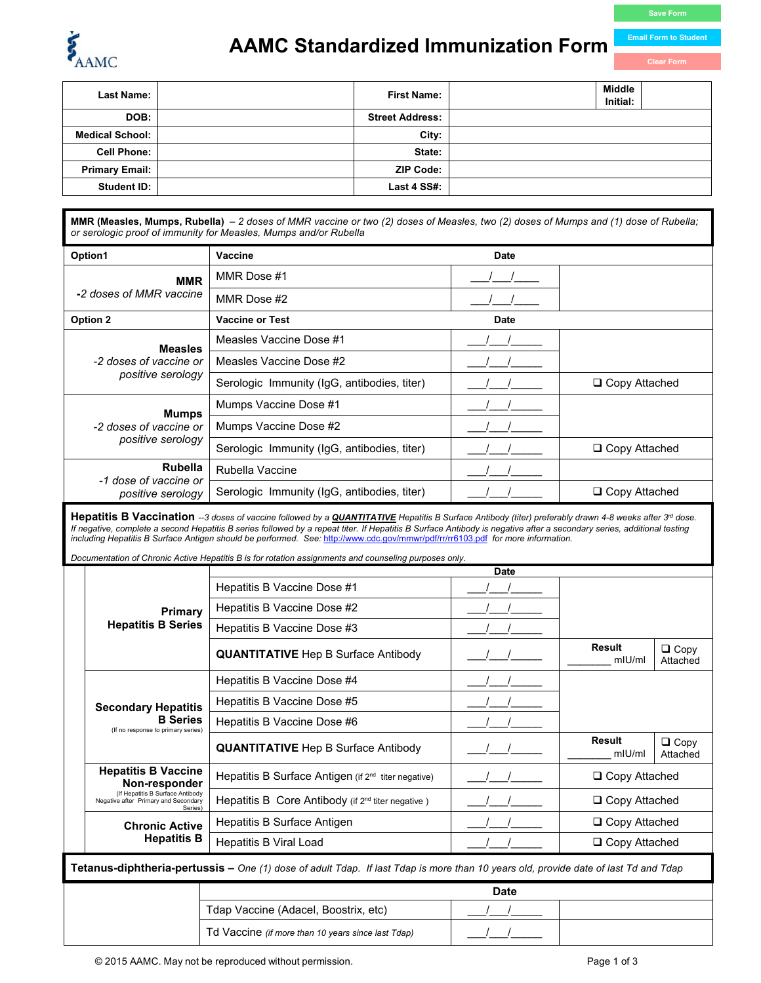

## **AAMC Standardized Immunization Form**

**Email Form to Student** 

| <b>First Name:</b> | Middle<br>Initial:                                                           |
|--------------------|------------------------------------------------------------------------------|
|                    |                                                                              |
|                    |                                                                              |
|                    |                                                                              |
|                    |                                                                              |
|                    |                                                                              |
|                    | <b>Street Address:</b><br>City:<br>State:<br><b>ZIP Code:</b><br>Last 4 SS#: |

**MMR (Measles, Mumps, Rubella)** *– 2 doses of MMR vaccine or two (2) doses of Measles, two (2) doses of Mumps and (1) dose of Rubella; or serologic proof of immunity for Measles, Mumps and/or Rubella*

| Option1                                                       | Vaccine                                     | <b>Date</b> |                      |
|---------------------------------------------------------------|---------------------------------------------|-------------|----------------------|
| <b>MMR</b>                                                    | MMR Dose #1                                 |             |                      |
| -2 doses of MMR vaccine                                       | MMR Dose #2                                 |             |                      |
| Option 2                                                      | <b>Vaccine or Test</b>                      | <b>Date</b> |                      |
| <b>Measles</b><br>-2 doses of vaccine or<br>positive serology | Measles Vaccine Dose #1                     |             |                      |
|                                                               | Measles Vaccine Dose #2                     |             |                      |
|                                                               | Serologic Immunity (IgG, antibodies, titer) |             | $\Box$ Copy Attached |
| <b>Mumps</b>                                                  | Mumps Vaccine Dose #1                       |             |                      |
| -2 doses of vaccine or                                        | Mumps Vaccine Dose #2                       |             |                      |
| positive serology                                             | Serologic Immunity (IgG, antibodies, titer) |             | □ Copy Attached      |
| <b>Rubella</b><br>-1 dose of vaccine or                       | Rubella Vaccine                             |             |                      |
| positive serology                                             | Serologic Immunity (IgG, antibodies, titer) |             | □ Copy Attached      |

Hepatitis B Vaccination --3 doses of vaccine followed by a *QUANTITATIVE* Hepatitis B Surface Antibody (titer) preferably drawn 4-8 weeks after 3<sup>rd</sup> dose. If negative, complete a second Hepatitis B series followed by a repeat titer. If Hepatitis B Surface Antibody is negative after a secondary series, additional testing *including Hepatitis B Surface Antigen should be performed. See:* <http://www.cdc.gov/mmwr/pdf/rr/rr6103.pdf>*for more information.* 

*Documentation of Chronic Active Hepatitis B is for rotation assignments and counseling purposes only.* 

|                                                                                                                                            |                                                                                                                                    | <b>Date</b>                                                     |  |                      |                         |  |
|--------------------------------------------------------------------------------------------------------------------------------------------|------------------------------------------------------------------------------------------------------------------------------------|-----------------------------------------------------------------|--|----------------------|-------------------------|--|
|                                                                                                                                            |                                                                                                                                    | Hepatitis B Vaccine Dose #1                                     |  |                      |                         |  |
|                                                                                                                                            | Primary                                                                                                                            | Hepatitis B Vaccine Dose #2                                     |  |                      |                         |  |
|                                                                                                                                            | <b>Hepatitis B Series</b>                                                                                                          | Hepatitis B Vaccine Dose #3                                     |  |                      |                         |  |
|                                                                                                                                            |                                                                                                                                    | <b>QUANTITATIVE</b> Hep B Surface Antibody                      |  | Result<br>mU/m       | $\Box$ Copy<br>Attached |  |
|                                                                                                                                            |                                                                                                                                    | Hepatitis B Vaccine Dose #4                                     |  |                      |                         |  |
|                                                                                                                                            | <b>Secondary Hepatitis</b>                                                                                                         | Hepatitis B Vaccine Dose #5                                     |  |                      |                         |  |
|                                                                                                                                            | <b>B</b> Series<br>(If no response to primary series)                                                                              | Hepatitis B Vaccine Dose #6                                     |  |                      |                         |  |
|                                                                                                                                            |                                                                                                                                    | <b>QUANTITATIVE</b> Hep B Surface Antibody                      |  | Result<br>mU/ml      | $\Box$ Copy<br>Attached |  |
|                                                                                                                                            | <b>Hepatitis B Vaccine</b><br>Non-responder<br>(If Hepatitis B Surface Antibody<br>Negative after Primary and Secondary<br>Series) | Hepatitis B Surface Antigen (if 2 <sup>nd</sup> titer negative) |  | $\Box$ Copy Attached |                         |  |
|                                                                                                                                            |                                                                                                                                    | Hepatitis B Core Antibody (if $2^{nd}$ titer negative)          |  | □ Copy Attached      |                         |  |
|                                                                                                                                            | <b>Chronic Active</b><br><b>Hepatitis B</b>                                                                                        | Hepatitis B Surface Antigen                                     |  | $\Box$ Copy Attached |                         |  |
|                                                                                                                                            |                                                                                                                                    | Hepatitis B Viral Load                                          |  | □ Copy Attached      |                         |  |
| <b>Tetanus-diphtheria-pertussis –</b> One (1) dose of adult Tdap. If last Tdap is more than 10 years old, provide date of last Td and Tdap |                                                                                                                                    |                                                                 |  |                      |                         |  |
|                                                                                                                                            |                                                                                                                                    |                                                                 |  |                      |                         |  |

| <b>Date</b>                                        |  |  |
|----------------------------------------------------|--|--|
| Tdap Vaccine (Adacel, Boostrix, etc)               |  |  |
| Td Vaccine (if more than 10 years since last Tdap) |  |  |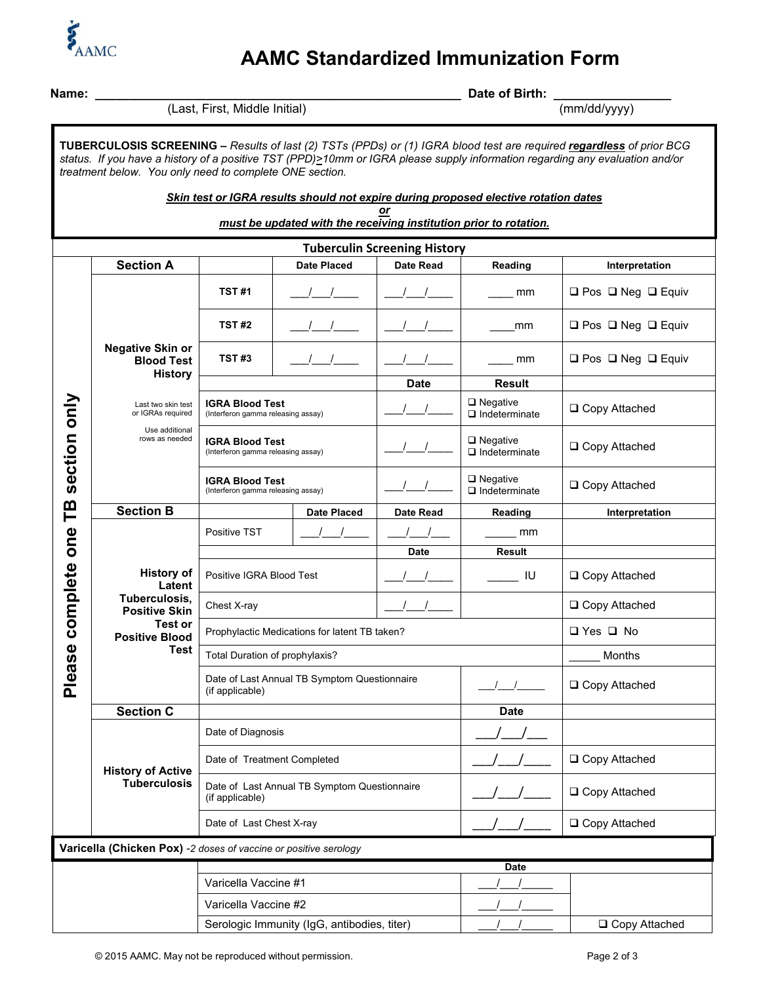

## **AAMC Standardized Immunization Form**

| Name:<br>(Last, First, Middle Initial)                                                                                                                         |                                                                                 |                                                                 |                    | Date of Birth:                      |                             |                                                                                                                                                                                                                                                      |
|----------------------------------------------------------------------------------------------------------------------------------------------------------------|---------------------------------------------------------------------------------|-----------------------------------------------------------------|--------------------|-------------------------------------|-----------------------------|------------------------------------------------------------------------------------------------------------------------------------------------------------------------------------------------------------------------------------------------------|
|                                                                                                                                                                |                                                                                 |                                                                 | (mm/dd/yyyy)       |                                     |                             |                                                                                                                                                                                                                                                      |
|                                                                                                                                                                | treatment below. You only need to complete ONE section.                         |                                                                 |                    |                                     |                             | TUBERCULOSIS SCREENING - Results of last (2) TSTs (PPDs) or (1) IGRA blood test are required regardless of prior BCG<br>status. If you have a history of a positive TST (PPD)>10mm or IGRA please supply information regarding any evaluation and/or |
| Skin test or IGRA results should not expire during proposed elective rotation dates<br>or<br>must be updated with the receiving institution prior to rotation. |                                                                                 |                                                                 |                    |                                     |                             |                                                                                                                                                                                                                                                      |
|                                                                                                                                                                |                                                                                 |                                                                 |                    | <b>Tuberculin Screening History</b> |                             |                                                                                                                                                                                                                                                      |
|                                                                                                                                                                | <b>Section A</b>                                                                |                                                                 | <b>Date Placed</b> | Date Read                           | Reading                     | Interpretation                                                                                                                                                                                                                                       |
|                                                                                                                                                                |                                                                                 | <b>TST#1</b>                                                    |                    |                                     | mm                          | OPos ONeg OEquiv                                                                                                                                                                                                                                     |
|                                                                                                                                                                |                                                                                 | TST #2                                                          |                    |                                     | mm                          | OPos ONeg OEquiv                                                                                                                                                                                                                                     |
|                                                                                                                                                                | <b>Negative Skin or</b><br><b>Blood Test</b><br><b>History</b>                  | TST#3                                                           | $\sqrt{1}$         |                                     | mm                          | OPos (DNeg (DEquiv                                                                                                                                                                                                                                   |
|                                                                                                                                                                |                                                                                 |                                                                 |                    | Date                                | <b>Result</b>               |                                                                                                                                                                                                                                                      |
|                                                                                                                                                                | Last two skin test<br>or IGRAs required                                         | <b>IGRA Blood Test</b><br>(Interferon gamma releasing assay)    |                    |                                     | DNegative<br>ndeterminate   | □ Copy Attached                                                                                                                                                                                                                                      |
| section only                                                                                                                                                   | Use additional<br>rows as needed                                                | <b>IGRA Blood Test</b><br>(Interferon gamma releasing assay)    |                    |                                     | DNegative<br>ndeterminate   | □ Copy Attached                                                                                                                                                                                                                                      |
|                                                                                                                                                                |                                                                                 | IGRA Blood Test<br>(Interferon gamma releasing assay)           |                    |                                     | □ Negative<br>Indeterminate | □ Copy Attached                                                                                                                                                                                                                                      |
| TB                                                                                                                                                             | <b>Section B</b>                                                                |                                                                 | <b>Date Placed</b> | Date Read                           | Reading                     | Interpretation                                                                                                                                                                                                                                       |
|                                                                                                                                                                |                                                                                 | Positive TST                                                    |                    |                                     | mm                          |                                                                                                                                                                                                                                                      |
|                                                                                                                                                                | <b>History of</b><br>Latent<br>Tuberculosis,<br><b>Positive Skin</b><br>Test or |                                                                 |                    | <b>Date</b>                         | Result                      |                                                                                                                                                                                                                                                      |
| complete one                                                                                                                                                   |                                                                                 | Positive IGRA Blood Test                                        |                    |                                     | IU.                         | □ Copy Attached                                                                                                                                                                                                                                      |
|                                                                                                                                                                |                                                                                 | Chest X-ray                                                     |                    |                                     | □ Copy Attached             |                                                                                                                                                                                                                                                      |
|                                                                                                                                                                | <b>Positive Blood</b>                                                           | Prophylactic Medications for latent TB taken?                   |                    |                                     |                             | O Yes O No                                                                                                                                                                                                                                           |
|                                                                                                                                                                | Test                                                                            | Total Duration of prophylaxis?                                  |                    |                                     |                             | Months                                                                                                                                                                                                                                               |
| Please                                                                                                                                                         |                                                                                 | Date of Last Annual TB Symptom Questionnaire<br>(if applicable) |                    |                                     | □ Copy Attached             |                                                                                                                                                                                                                                                      |
|                                                                                                                                                                | <b>Section C</b>                                                                |                                                                 |                    |                                     | <b>Date</b>                 |                                                                                                                                                                                                                                                      |
|                                                                                                                                                                |                                                                                 | Date of Diagnosis                                               |                    |                                     |                             |                                                                                                                                                                                                                                                      |
|                                                                                                                                                                | <b>History of Active</b><br><b>Tuberculosis</b>                                 | Date of Treatment Completed                                     |                    |                                     | □ Copy Attached             |                                                                                                                                                                                                                                                      |
|                                                                                                                                                                |                                                                                 | Date of Last Annual TB Symptom Questionnaire<br>(if applicable) |                    |                                     | □ Copy Attached             |                                                                                                                                                                                                                                                      |
|                                                                                                                                                                |                                                                                 | Date of Last Chest X-ray                                        |                    |                                     | □ Copy Attached             |                                                                                                                                                                                                                                                      |
| Varicella (Chicken Pox) -2 doses of vaccine or positive serology                                                                                               |                                                                                 |                                                                 |                    |                                     |                             |                                                                                                                                                                                                                                                      |
|                                                                                                                                                                |                                                                                 |                                                                 |                    |                                     | <b>Date</b>                 |                                                                                                                                                                                                                                                      |
| Varicella Vaccine #1                                                                                                                                           |                                                                                 |                                                                 |                    |                                     |                             |                                                                                                                                                                                                                                                      |
| Varicella Vaccine #2                                                                                                                                           |                                                                                 |                                                                 |                    |                                     |                             |                                                                                                                                                                                                                                                      |
| Serologic Immunity (IgG, antibodies, titer)                                                                                                                    |                                                                                 |                                                                 |                    |                                     | □ Copy Attached             |                                                                                                                                                                                                                                                      |